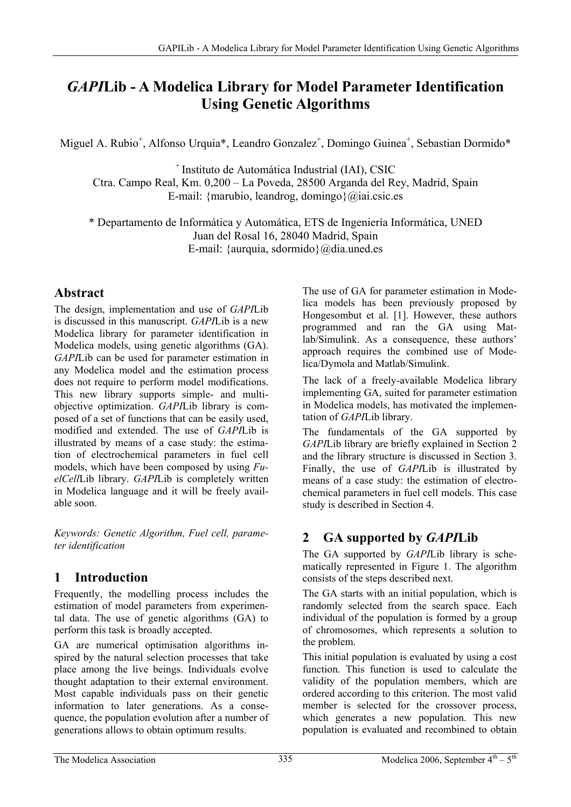# *GAPI***Lib - A Modelica Library for Model Parameter Identification Using Genetic Algorithms**

Miguel A. Rubio<sup>+</sup>, Alfonso Urquia\*, Leandro Gonzalez<sup>+</sup>, Domingo Guinea<sup>+</sup>, Sebastian Dormido\*

+ Instituto de Automática Industrial (IAI), CSIC Ctra. Campo Real, Km. 0,200 – La Poveda, 28500 Arganda del Rey, Madrid, Spain E-mail: {marubio, leandrog, domingo} $@iai.csic.es$ 

\* Departamento de Informática y Automática, ETS de Ingeniería Informática, UNED Juan del Rosal 16, 28040 Madrid, Spain E-mail: {aurquia, sdormido}@dia.uned.es

### **Abstract**

The design, implementation and use of *GAPI*Lib is discussed in this manuscript. *GAPI*Lib is a new Modelica library for parameter identification in Modelica models, using genetic algorithms (GA). *GAPI*Lib can be used for parameter estimation in any Modelica model and the estimation process does not require to perform model modifications. This new library supports simple- and multiobjective optimization. *GAPI*Lib library is composed of a set of functions that can be easily used, modified and extended. The use of *GAPI*Lib is illustrated by means of a case study: the estimation of electrochemical parameters in fuel cell models, which have been composed by using *FuelCell*Lib library. *GAPI*Lib is completely written in Modelica language and it will be freely available soon.

*Keywords: Genetic Algorithm, Fuel cell, parameter identification* 

### **1 Introduction**

Frequently, the modelling process includes the estimation of model parameters from experimental data. The use of genetic algorithms (GA) to perform this task is broadly accepted.

GA are numerical optimisation algorithms inspired by the natural selection processes that take place among the live beings. Individuals evolve thought adaptation to their external environment. Most capable individuals pass on their genetic information to later generations. As a consequence, the population evolution after a number of generations allows to obtain optimum results.

The use of GA for parameter estimation in Modelica models has been previously proposed by Hongesombut et al. [1]. However, these authors programmed and ran the GA using Matlab/Simulink. As a consequence, these authors' approach requires the combined use of Modelica/Dymola and Matlab/Simulink.

The lack of a freely-available Modelica library implementing GA, suited for parameter estimation in Modelica models, has motivated the implementation of *GAPI*Lib library.

The fundamentals of the GA supported by *GAPI*Lib library are briefly explained in Section 2 and the library structure is discussed in Section 3. Finally, the use of *GAPI*Lib is illustrated by means of a case study: the estimation of electrochemical parameters in fuel cell models. This case study is described in Section 4.

## **2 GA supported by** *GAPI***Lib**

The GA supported by *GAPI*Lib library is schematically represented in Figure 1. The algorithm consists of the steps described next.

The GA starts with an initial population, which is randomly selected from the search space. Each individual of the population is formed by a group of chromosomes, which represents a solution to the problem.

This initial population is evaluated by using a cost function. This function is used to calculate the validity of the population members, which are ordered according to this criterion. The most valid member is selected for the crossover process, which generates a new population. This new population is evaluated and recombined to obtain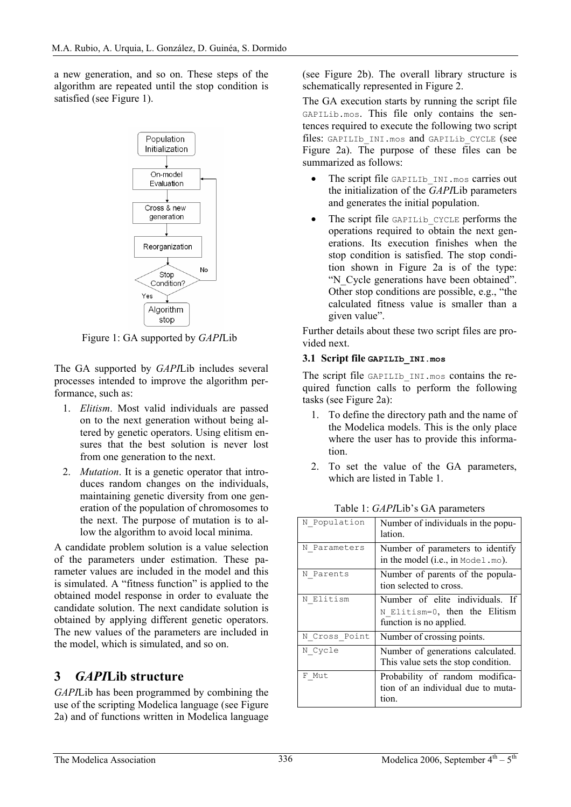a new generation, and so on. These steps of the algorithm are repeated until the stop condition is satisfied (see Figure 1).



Figure 1: GA supported by *GAPI*Lib

The GA supported by *GAPI*Lib includes several processes intended to improve the algorithm performance, such as:

- 1. *Elitism*. Most valid individuals are passed on to the next generation without being altered by genetic operators. Using elitism ensures that the best solution is never lost from one generation to the next.
- 2. *Mutation*. It is a genetic operator that introduces random changes on the individuals, maintaining genetic diversity from one generation of the population of chromosomes to the next. The purpose of mutation is to allow the algorithm to avoid local minima.

A candidate problem solution is a value selection of the parameters under estimation. These parameter values are included in the model and this is simulated. A "fitness function" is applied to the obtained model response in order to evaluate the candidate solution. The next candidate solution is obtained by applying different genetic operators. The new values of the parameters are included in the model, which is simulated, and so on.

### **3** *GAPI***Lib structure**

*GAPI*Lib has been programmed by combining the use of the scripting Modelica language (see Figure 2a) and of functions written in Modelica language

(see Figure 2b). The overall library structure is schematically represented in Figure 2.

The GA execution starts by running the script file GAPILib.mos. This file only contains the sentences required to execute the following two script files: GAPILIb INI.mos and GAPILib CYCLE (see Figure 2a). The purpose of these files can be summarized as follows:

- The script file GAPILIb INI.mos carries out the initialization of the *GAPI*Lib parameters and generates the initial population.
- The script file GAPILIb CYCLE performs the operations required to obtain the next generations. Its execution finishes when the stop condition is satisfied. The stop condition shown in Figure 2a is of the type: "N\_Cycle generations have been obtained". Other stop conditions are possible, e.g., "the calculated fitness value is smaller than a given value".

Further details about these two script files are provided next.

### **3.1 Script file GAPILIb\_INI.mos**

The script file GAPILIb INI.mos contains the required function calls to perform the following tasks (see Figure 2a):

- 1. To define the directory path and the name of the Modelica models. This is the only place where the user has to provide this information.
- 2. To set the value of the GA parameters, which are listed in Table 1.

| N Population  | Number of individuals in the popu-<br>lation.                                                    |
|---------------|--------------------------------------------------------------------------------------------------|
| N Parameters  | Number of parameters to identify<br>in the model (i.e., in $Model.mo$ ).                         |
| N Parents     | Number of parents of the popula-<br>tion selected to cross.                                      |
| N Elitism     | Number of elite individuals.<br>- If<br>N Elitism=0, then the Elitism<br>function is no applied. |
| N Cross Point | Number of crossing points.                                                                       |
| N Cycle       | Number of generations calculated.<br>This value sets the stop condition.                         |
| F Mut         | Probability of random modifica-<br>tion of an individual due to muta-<br>tion.                   |

Table 1: *GAPI*Lib's GA parameters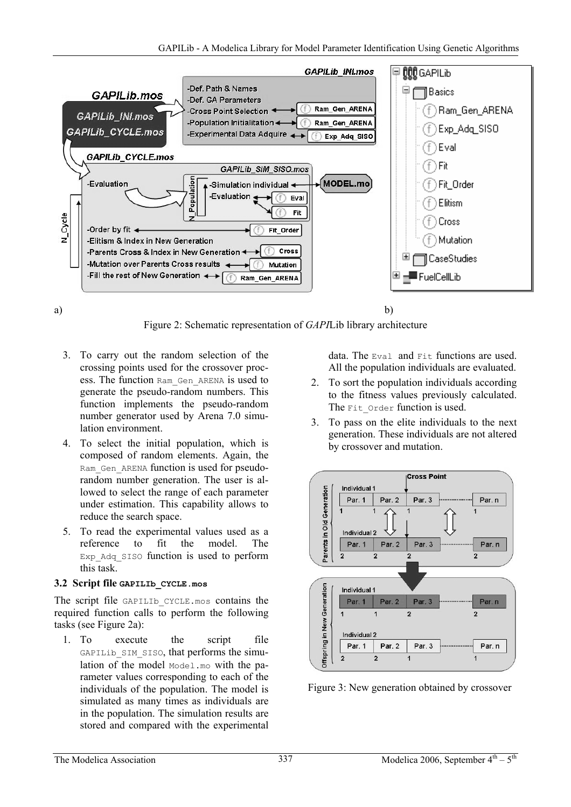

Figure 2: Schematic representation of *GAPI*Lib library architecture

- 3. To carry out the random selection of the crossing points used for the crossover process. The function Ram\_Gen\_ARENA is used to generate the pseudo-random numbers. This function implements the pseudo-random number generator used by Arena 7.0 simulation environment.
- 4. To select the initial population, which is composed of random elements. Again, the Ram Gen ARENA function is used for pseudorandom number generation. The user is allowed to select the range of each parameter under estimation. This capability allows to reduce the search space.
- 5. To read the experimental values used as a reference to fit the model. The Exp\_Adq\_SISO function is used to perform this task.

### **3.2 Script file GAPILIb\_CYCLE.mos**

The script file GAPILIb CYCLE.mos contains the required function calls to perform the following tasks (see Figure 2a):

1. To execute the script file GAPILib SIM SISO, that performs the simulation of the model Model.mo with the parameter values corresponding to each of the individuals of the population. The model is simulated as many times as individuals are in the population. The simulation results are stored and compared with the experimental

data. The  $EVAL}$  and  $F1$ <sup>+</sup> functions are used. All the population individuals are evaluated.

- 2. To sort the population individuals according to the fitness values previously calculated. The Fit Order function is used.
- 3. To pass on the elite individuals to the next generation. These individuals are not altered by crossover and mutation.



Figure 3: New generation obtained by crossover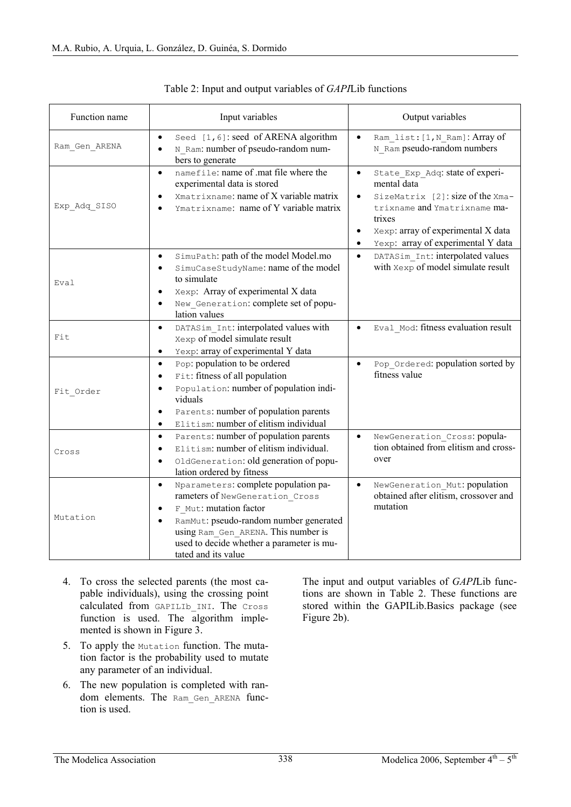| Function name | Input variables                                                                                                                                                                                                                                                                               | Output variables                                                                                                                                                                                                                                             |
|---------------|-----------------------------------------------------------------------------------------------------------------------------------------------------------------------------------------------------------------------------------------------------------------------------------------------|--------------------------------------------------------------------------------------------------------------------------------------------------------------------------------------------------------------------------------------------------------------|
| Ram_Gen_ARENA | Seed [1,6]: seed of ARENA algorithm<br>$\bullet$<br>N Ram: number of pseudo-random num-<br>$\bullet$<br>bers to generate                                                                                                                                                                      | Ram list: [1, N Ram]: Array of<br>$\bullet$<br>N Ram pseudo-random numbers                                                                                                                                                                                   |
| Exp Adq SISO  | namefile: name of .mat file where the<br>$\bullet$<br>experimental data is stored<br>Xmatrixname: name of X variable matrix<br>$\bullet$<br>Ymatrixname: name of Y variable matrix<br>٠                                                                                                       | State Exp Adq: state of experi-<br>$\bullet$<br>mental data<br>SizeMatrix [2]: size of the Xma-<br>$\bullet$<br>trixname and Ymatrixname ma-<br>trixes<br>Xexp: array of experimental X data<br>$\bullet$<br>Yexp: array of experimental Y data<br>$\bullet$ |
| Eval          | SimuPath: path of the model Model.mo<br>$\bullet$<br>SimuCaseStudyName: name of the model<br>$\bullet$<br>to simulate<br>Xexp: Array of experimental X data<br>$\bullet$<br>New Generation: complete set of popu-<br>lation values                                                            | DATASim Int: interpolated values<br>$\bullet$<br>with Xexp of model simulate result                                                                                                                                                                          |
| Fit           | DATASim Int: interpolated values with<br>$\bullet$<br>Xexp of model simulate result<br>Yexp: array of experimental Y data<br>$\bullet$                                                                                                                                                        | Eval Mod: fitness evaluation result<br>$\bullet$                                                                                                                                                                                                             |
| Fit Order     | Pop: population to be ordered<br>$\bullet$<br>Fit: fitness of all population<br>$\bullet$<br>Population: number of population indi-<br>$\bullet$<br>viduals<br>Parents: number of population parents<br>$\bullet$<br>Elitism: number of elitism individual<br>$\bullet$                       | Pop_Ordered: population sorted by<br>$\bullet$<br>fitness value                                                                                                                                                                                              |
| Cross         | Parents: number of population parents<br>$\bullet$<br>Elitism: number of elitism individual.<br>$\bullet$<br>OldGeneration: old generation of popu-<br>$\bullet$<br>lation ordered by fitness                                                                                                 | NewGeneration Cross: popula-<br>$\bullet$<br>tion obtained from elitism and cross-<br>over                                                                                                                                                                   |
| Mutation      | Nparameters: complete population pa-<br>$\bullet$<br>rameters of NewGeneration Cross<br>F Mut: mutation factor<br>$\bullet$<br>RamMut: pseudo-random number generated<br>$\bullet$<br>using Ram Gen ARENA. This number is<br>used to decide whether a parameter is mu-<br>tated and its value | NewGeneration Mut: population<br>$\bullet$<br>obtained after elitism, crossover and<br>mutation                                                                                                                                                              |

Table 2: Input and output variables of *GAPI*Lib functions

- 4. To cross the selected parents (the most capable individuals), using the crossing point calculated from GAPILIb\_INI. The Cross function is used. The algorithm implemented is shown in Figure 3.
- 5. To apply the Mutation function. The mutation factor is the probability used to mutate any parameter of an individual.
- 6. The new population is completed with random elements. The Ram Gen ARENA function is used.

The input and output variables of *GAPI*Lib functions are shown in Table 2. These functions are stored within the GAPILib.Basics package (see Figure 2b).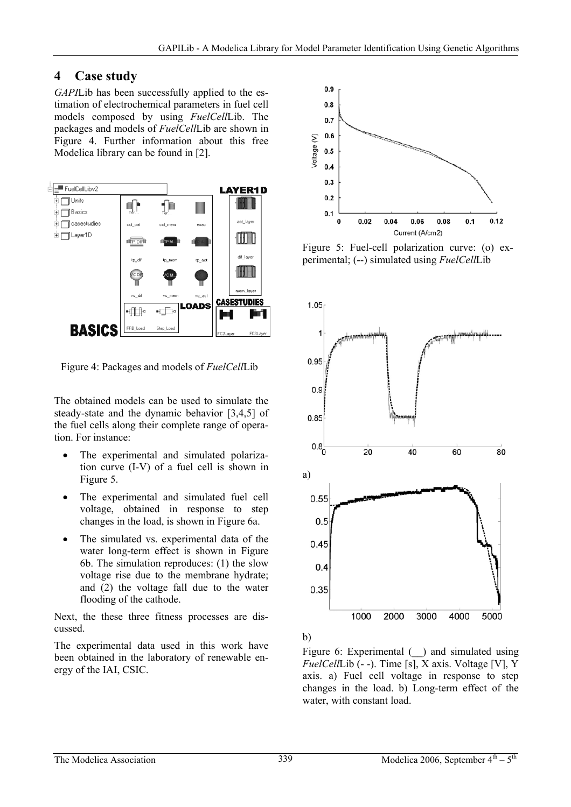### **4 Case study**

*GAPI*Lib has been successfully applied to the estimation of electrochemical parameters in fuel cell models composed by using *FuelCell*Lib. The packages and models of *FuelCell*Lib are shown in Figure 4. Further information about this free Modelica library can be found in [2].



Figure 4: Packages and models of *FuelCell*Lib

The obtained models can be used to simulate the steady-state and the dynamic behavior [3,4,5] of the fuel cells along their complete range of operation. For instance:

- The experimental and simulated polarization curve (I-V) of a fuel cell is shown in Figure 5.
- The experimental and simulated fuel cell voltage, obtained in response to step changes in the load, is shown in Figure 6a.
- The simulated vs. experimental data of the water long-term effect is shown in Figure 6b. The simulation reproduces: (1) the slow voltage rise due to the membrane hydrate; and (2) the voltage fall due to the water flooding of the cathode.

Next, the these three fitness processes are discussed.

The experimental data used in this work have been obtained in the laboratory of renewable energy of the IAI, CSIC.



Figure 5: Fuel-cell polarization curve: (o) experimental; (--) simulated using *FuelCell*Lib



b)

Figure 6: Experimental  $\Box$  and simulated using *FuelCell*Lib (- -). Time [s], X axis. Voltage [V], Y axis. a) Fuel cell voltage in response to step changes in the load. b) Long-term effect of the water, with constant load.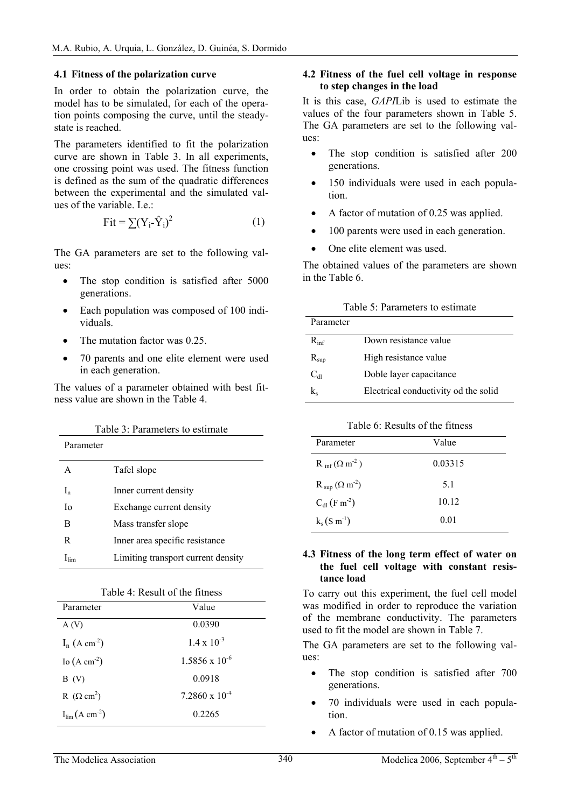#### **4.1 Fitness of the polarization curve**

In order to obtain the polarization curve, the model has to be simulated, for each of the operation points composing the curve, until the steadystate is reached.

The parameters identified to fit the polarization curve are shown in Table 3. In all experiments, one crossing point was used. The fitness function is defined as the sum of the quadratic differences between the experimental and the simulated values of the variable. I.e.:

$$
Fit = \sum (Y_i - \hat{Y}_i)^2
$$
 (1)

The GA parameters are set to the following values:

- The stop condition is satisfied after 5000 generations.
- Each population was composed of 100 individuals.
- The mutation factor was 0.25.
- 70 parents and one elite element were used in each generation.

The values of a parameter obtained with best fitness value are shown in the Table 4.

| Table 3: Parameters to estimate |                                    |  |
|---------------------------------|------------------------------------|--|
| Parameter                       |                                    |  |
| A                               | Tafel slope                        |  |
| $I_n$                           | Inner current density              |  |
| Ιo                              | Exchange current density           |  |
| B                               | Mass transfer slope                |  |
| R                               | Inner area specific resistance     |  |
| $\mathbf{l}_{\text{lim}}$       | Limiting transport current density |  |

| Table 4: Result of the fitness |  |  |  |
|--------------------------------|--|--|--|
|--------------------------------|--|--|--|

| Parameter                           | Value                   |
|-------------------------------------|-------------------------|
| A(V)                                | 0.0390                  |
| $I_n$ (A cm <sup>-2</sup> )         | $1.4 \times 10^{-3}$    |
| Io $(A \text{ cm}^{-2})$            | $1.5856 \times 10^{-6}$ |
| B(V)                                | 0.0918                  |
| R $(\Omega \text{ cm}^2)$           | $7.2860 \times 10^{-4}$ |
| $I_{\text{lim}}(A \text{ cm}^{-2})$ | 0.2265                  |

#### **4.2 Fitness of the fuel cell voltage in response to step changes in the load**

It is this case, *GAPI*Lib is used to estimate the values of the four parameters shown in Table 5. The GA parameters are set to the following values:

- The stop condition is satisfied after 200 generations.
- 150 individuals were used in each population.
- A factor of mutation of 0.25 was applied.
- 100 parents were used in each generation.
- One elite element was used.

The obtained values of the parameters are shown in the Table 6.

| Table 9. I alaments to estimate |                                      |
|---------------------------------|--------------------------------------|
| Parameter                       |                                      |
| $R_{\rm inf}$                   | Down resistance value                |
| $R_{\rm sup}$                   | High resistance value                |
| $C_{dI}$                        | Doble layer capacitance              |
| k.                              | Electrical conductivity od the solid |

Table 5: Parameters to estimate

#### Table 6: Results of the fitness

| Parameter                            | Value   |
|--------------------------------------|---------|
| $R_{\text{inf}}(\Omega \text{ m}^2)$ | 0.03315 |
| $R_{\text{sup}}(\Omega \text{ m}^2)$ | 51      |
| $C_{dl}$ (F m <sup>-2</sup> )        | 10.12   |
| $k_s(S \, m^{-1})$                   | 0.01    |

#### **4.3 Fitness of the long term effect of water on the fuel cell voltage with constant resistance load**

To carry out this experiment, the fuel cell model was modified in order to reproduce the variation of the membrane conductivity. The parameters used to fit the model are shown in Table 7.

The GA parameters are set to the following values:

- The stop condition is satisfied after 700 generations.
- 70 individuals were used in each population.
- A factor of mutation of 0.15 was applied.